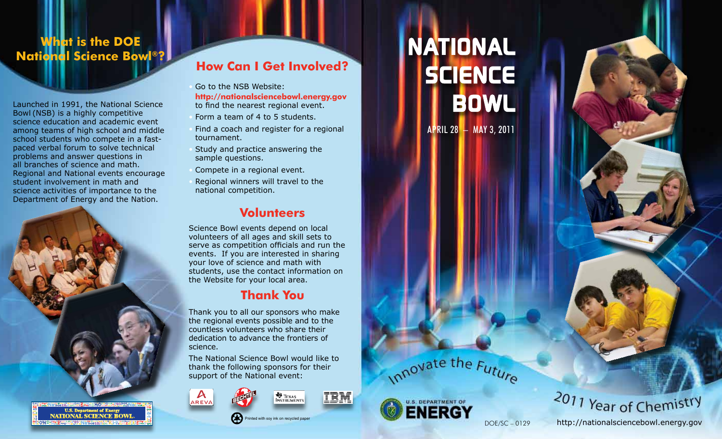## **What is the DOE National Science Bowl®?**

Launched in 1991, the National Science Bowl (NSB) is a highly competitive science education and academic event among teams of high school and middle school students who compete in a fastpaced verbal forum to solve technical problems and answer questions in all branches of science and math. Regional and National events encourage student involvement in math and science activities of importance to the Department of Energy and the Nation.



## **How Can I Get Involved?**

Go to the NSB Website:

**http://nationalsciencebowl.energy.gov** to find the nearest regional event.

- Form a team of 4 to 5 students.
- Find a coach and register for a regional tournament.
- Study and practice answering the sample questions.
- Compete in a regional event.
- Regional winners will travel to the national competition.

### **Volunteers**

Science Bowl events depend on local volunteers of all ages and skill sets to serve as competition officials and run the events. If you are interested in sharing your love of science and math with students, use the contact information on the Website for your local area.

# **Thank You**

Thank you to all our sponsors who make the regional events possible and to the countless volunteers who share their dedication to advance the frontiers of science.

The National Science Bowl would like to thank the following sponsors for their support of the National event:





ted with soy ink on recycled paper



IBM.



April 28 – May 3, 2011





2011 Year of Chemistry

http://nationalsciencebowl.energy.gov